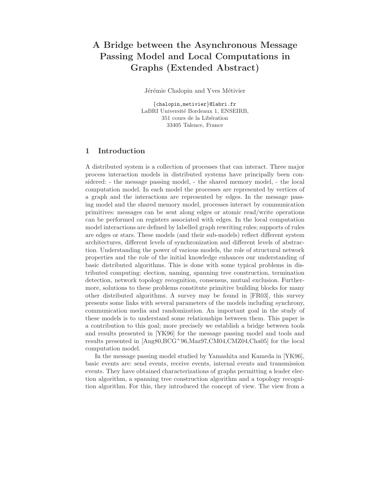# A Bridge between the Asynchronous Message Passing Model and Local Computations in Graphs (Extended Abstract)

Jérémie Chalopin and Yves Métivier

{chalopin,metivier}@labri.fr LaBRI Université Bordeaux 1, ENSEIRB, 351 cours de la Libération 33405 Talence, France

## 1 Introduction

A distributed system is a collection of processes that can interact. Three major process interaction models in distributed systems have principally been considered: - the message passing model, - the shared memory model, - the local computation model. In each model the processes are represented by vertices of a graph and the interactions are represented by edges. In the message passing model and the shared memory model, processes interact by communication primitives: messages can be sent along edges or atomic read/write operations can be performed on registers associated with edges. In the local computation model interactions are defined by labelled graph rewriting rules; supports of rules are edges or stars. These models (and their sub-models) reflect different system architectures, different levels of synchronization and different levels of abstraction. Understanding the power of various models, the role of structural network properties and the role of the initial knowledge enhances our understanding of basic distributed algorithms. This is done with some typical problems in distributed computing: election, naming, spanning tree construction, termination detection, network topology recognition, consensus, mutual exclusion. Furthermore, solutions to these problems constitute primitive building blocks for many other distributed algorithms. A survey may be found in [FR03], this survey presents some links with several parameters of the models including synchrony, communication media and randomization. An important goal in the study of these models is to understand some relationships between them. This paper is a contribution to this goal; more precisely we establish a bridge between tools and results presented in [YK96] for the message passing model and tools and results presented in [Ang80,BCG<sup>+</sup>96,Maz97,CM04,CMZ04,Cha05] for the local computation model.

In the message passing model studied by Yamashita and Kameda in [YK96], basic events are: send events, receive events, internal events and transmission events. They have obtained characterizations of graphs permitting a leader election algorithm, a spanning tree construction algorithm and a topology recognition algorithm. For this, they introduced the concept of view. The view from a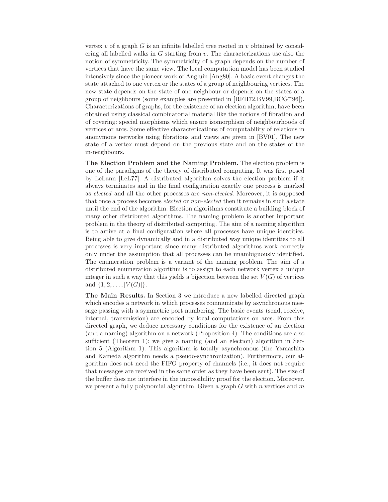vertex v of a graph  $G$  is an infinite labelled tree rooted in v obtained by considering all labelled walks in  $G$  starting from  $v$ . The characterizations use also the notion of symmetricity. The symmetricity of a graph depends on the number of vertices that have the same view. The local computation model has been studied intensively since the pioneer work of Angluin [Ang80]. A basic event changes the state attached to one vertex or the states of a group of neighbouring vertices. The new state depends on the state of one neighbour or depends on the states of a group of neighbours (some examples are presented in [RFH72,BV99,BCG<sup>+</sup>96]). Characterizations of graphs, for the existence of an election algorithm, have been obtained using classical combinatorial material like the notions of fibration and of covering: special morphisms which ensure isomorphism of neighbourhoods of vertices or arcs. Some effective characterizations of computability of relations in anonymous networks using fibrations and views are given in [BV01]. The new state of a vertex must depend on the previous state and on the states of the in-neighbours.

The Election Problem and the Naming Problem. The election problem is one of the paradigms of the theory of distributed computing. It was first posed by LeLann [LeL77]. A distributed algorithm solves the election problem if it always terminates and in the final configuration exactly one process is marked as elected and all the other processes are non-elected. Moreover, it is supposed that once a process becomes elected or non-elected then it remains in such a state until the end of the algorithm. Election algorithms constitute a building block of many other distributed algorithms. The naming problem is another important problem in the theory of distributed computing. The aim of a naming algorithm is to arrive at a final configuration where all processes have unique identities. Being able to give dynamically and in a distributed way unique identities to all processes is very important since many distributed algorithms work correctly only under the assumption that all processes can be unambiguously identified. The enumeration problem is a variant of the naming problem. The aim of a distributed enumeration algorithm is to assign to each network vertex a unique integer in such a way that this yields a bijection between the set  $V(G)$  of vertices and  $\{1, 2, \ldots, |V(G)|\}.$ 

The Main Results. In Section 3 we introduce a new labelled directed graph which encodes a network in which processes communicate by asynchronous message passing with a symmetric port numbering. The basic events (send, receive, internal, transmission) are encoded by local computations on arcs. From this directed graph, we deduce necessary conditions for the existence of an election (and a naming) algorithm on a network (Proposition 4). The conditions are also sufficient (Theorem 1): we give a naming (and an election) algorithm in Section 5 (Algorithm 1). This algorithm is totally asynchronous (the Yamashita and Kameda algorithm needs a pseudo-synchronization). Furthermore, our algorithm does not need the FIFO property of channels (i.e., it does not require that messages are received in the same order as they have been sent). The size of the buffer does not interfere in the impossibility proof for the election. Moreover, we present a fully polynomial algorithm. Given a graph  $G$  with  $n$  vertices and  $m$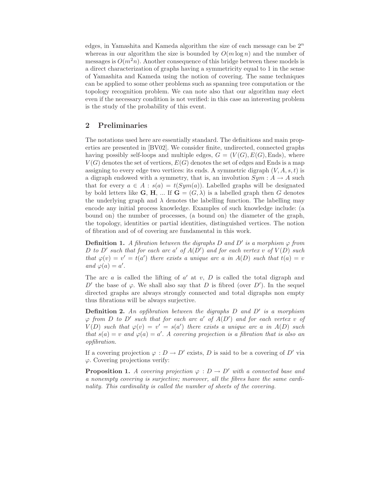edges, in Yamashita and Kameda algorithm the size of each message can be  $2^n$ whereas in our algorithm the size is bounded by  $O(m \log n)$  and the number of messages is  $O(m^2n)$ . Another consequence of this bridge between these models is a direct characterization of graphs having a symmetricity equal to 1 in the sense of Yamashita and Kameda using the notion of covering. The same techniques can be applied to some other problems such as spanning tree computation or the topology recognition problem. We can note also that our algorithm may elect even if the necessary condition is not verified: in this case an interesting problem is the study of the probability of this event.

### 2 Preliminaries

The notations used here are essentially standard. The definitions and main properties are presented in [BV02]. We consider finite, undirected, connected graphs having possibly self-loops and multiple edges,  $G = (V(G), E(G), Ends)$ , where  $V(G)$  denotes the set of vertices,  $E(G)$  denotes the set of edges and Ends is a map assigning to every edge two vertices: its ends. A symmetric digraph  $(V, A, s, t)$  is a digraph endowed with a symmetry, that is, an involution  $Sym : A \to A$  such that for every  $a \in A : s(a) = t(Sym(a))$ . Labelled graphs will be designated by bold letters like **G**, **H**, ... If **G** =  $(G, \lambda)$  is a labelled graph then G denotes the underlying graph and  $\lambda$  denotes the labelling function. The labelling may encode any initial process knowledge. Examples of such knowledge include: (a bound on) the number of processes, (a bound on) the diameter of the graph, the topology, identities or partial identities, distinguished vertices. The notion of fibration and of of covering are fundamental in this work.

**Definition 1.** A fibration between the digraphs D and D' is a morphism  $\varphi$  from D to D' such that for each arc a' of  $A(D')$  and for each vertex v of  $V(D)$  such that  $\varphi(v) = v' = t(a')$  there exists a unique arc a in  $A(D)$  such that  $t(a) = v'$ and  $\varphi(a) = a'$ .

The arc  $a$  is called the lifting of  $a'$  at  $v$ ,  $D$  is called the total digraph and D' the base of  $\varphi$ . We shall also say that D is fibred (over D'). In the sequel directed graphs are always strongly connected and total digraphs non empty thus fibrations will be always surjective.

**Definition 2.** An opfibration between the digraphs  $D$  and  $D'$  is a morphism  $\varphi$  from D to D' such that for each arc a' of  $A(D')$  and for each vertex v of  $V(D)$  such that  $\varphi(v) = v' = s(a')$  there exists a unique arc a in  $A(D)$  such that  $s(a) = v$  and  $\varphi(a) = a'$ . A covering projection is a fibration that is also an opfibration.

If a covering projection  $\varphi : D \to D'$  exists, D is said to be a covering of D' via  $\varphi$ . Covering projections verify:

**Proposition 1.** A covering projection  $\varphi : D \to D'$  with a connected base and a nonempty covering is surjective; moreover, all the fibres have the same cardinality. This cardinality is called the number of sheets of the covering.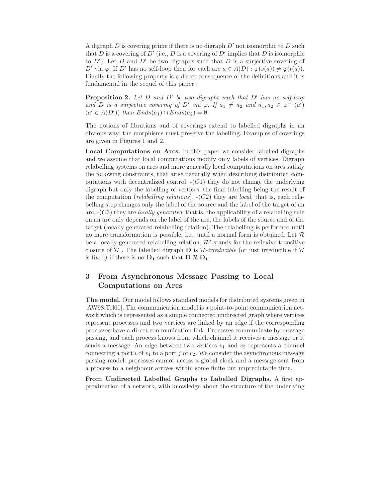A digraph  $D$  is covering prime if there is no digraph  $D'$  not isomorphic to  $D$  such that D is a covering of D' (i.e., D is a covering of D' implies that D is isomorphic to  $D'$ ). Let  $D$  and  $D'$  be two digraphs such that  $D$  is a surjective covering of D' via  $\varphi$ . If D' has no self-loop then for each arc  $a \in A(D)$ :  $\varphi(s(a)) \neq \varphi(t(a))$ . Finally the following property is a direct consequence of the definitions and it is fundamental in the sequel of this paper :

**Proposition 2.** Let  $D$  and  $D'$  be two digraphs such that  $D'$  has no self-loop and D is a surjective covering of D' via  $\varphi$ . If  $a_1 \neq a_2$  and  $a_1, a_2 \in \varphi^{-1}(a')$  $(a' \in A(D'))$  then  $Ends(a_1) \cap Ends(a_2) = \emptyset$ .

The notions of fibrations and of coverings extend to labelled digraphs in an obvious way: the morphisms must preserve the labelling. Examples of coverings are given in Figures 1 and 2.

Local Computations on Arcs. In this paper we consider labelled digraphs and we assume that local computations modify only labels of vertices. Digraph relabelling systems on arcs and more generally local computations on arcs satisfy the following constraints, that arise naturally when describing distributed computations with decentralized control:  $-(C1)$  they do not change the underlying digraph but only the labelling of vertices, the final labelling being the result of the computation (*relabelling relations*),  $-(C2)$  they are *local*, that is, each relabelling step changes only the label of the source and the label of the target of an arc,  $-(C3)$  they are *locally generated*, that is, the applicability of a relabelling rule on an arc only depends on the label of the arc, the labels of the source and of the target (locally generated relabelling relation). The relabelling is performed until no more transformation is possible, i.e., until a normal form is obtained. Let  $\mathcal R$ be a locally generated relabelling relation,  $\mathcal{R}^*$  stands for the reflexive-transitive closure of  $\mathcal R$ . The labelled digraph **D** is  $\mathcal R$ -irreducible (or just irreducible if  $\mathcal R$ is fixed) if there is no  $D_1$  such that  $D \mathcal{R} D_1$ .

# 3 From Asynchronous Message Passing to Local Computations on Arcs

The model. Our model follows standard models for distributed systems given in [AW98,Tel00]. The communication model is a point-to-point communication network which is represented as a simple connected undirected graph where vertices represent processes and two vertices are linked by an edge if the corresponding processes have a direct communication link. Processes communicate by message passing, and each process knows from which channel it receives a message or it sends a message. An edge between two vertices  $v_1$  and  $v_2$  represents a channel connecting a port i of  $v_1$  to a port j of  $v_2$ . We consider the asynchronous message passing model: processes cannot access a global clock and a message sent from a process to a neighbour arrives within some finite but unpredictable time.

From Undirected Labelled Graphs to Labelled Digraphs. A first approximation of a network, with knowledge about the structure of the underlying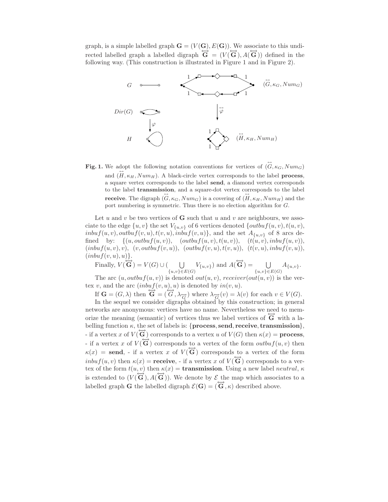graph, is a simple labelled graph  $\mathbf{G} = (V(\mathbf{G}), E(\mathbf{G}))$ . We associate to this undirected labelled graph a labelled digraph  $\overleftrightarrow{\mathbf{G}} = (V(\overrightarrow{\mathbf{G}}), A(\overrightarrow{\mathbf{G}}))$  defined in the following way. (This construction is illustrated in Figure 1 and in Figure 2).



**Fig. 1.** We adopt the following notation conventions for vertices of  $(\vec{G}, \kappa_G, Num_G)$ and  $(H, \kappa_H, Num_H)$ . A black-circle vertex corresponds to the label **process**, a square vertex corresponds to the label send, a diamond vertex corresponds to the label **transmission**, and a square-dot vertex corresponds to the label **receive**. The digraph  $(G, \kappa_G, Num_G)$  is a covering of  $(H, \kappa_H, Num_H)$  and the port numbering is symmetric. Thus there is no election algorithm for G.

Let u and v be two vertices of **G** such that u and v are neighbours, we associate to the edge  $\{u, v\}$  the set  $V_{\{u, v\}}$  of 6 vertices denoted  $\{output(u, v), t(u, v),$  $inbuf(u,v), outbuf(v,u), t(v,u), inbuf(v,u)\},$  and the set  $A_{\{u,v\}}$  of 8 arcs defined by:  $\{(u, outbuf(u, v)), (outbuf(u, v), t(u, v)), (t(u, v), inbuf(u, v)),$  $(inbuf(u, v), v), (v, outbuf(v, u)), (outbuf(v, u), t(v, u)), (t(v, u), inbuf(v, u)),$  $(inbuf(v,u),u)\}.$ 

Finally,  $V(\overrightarrow{G}) = V(G) \cup ($  $\bigcup_{\{u,v\}\in E(G)} V_{\{u,v\}}$  and  $A(\overleftrightarrow{\mathbf{G}}) = \bigcup_{\{u,v\}\in \Xi} V_{\{u,v\}}$  $\bigcup_{\{u,v\} \in E(G)} A_{\{u,v\}}.$ 

The arc  $(u, outbuf(u, v))$  is denoted  $out(u, v)$ , receiver $(out(u, v))$  is the vertex v, and the arc  $(inbuf(v,u),u)$  is denoted by  $in(v,u)$ .

If  $\mathbf{G} = (G, \lambda)$  then  $\mathbf{\overline{G}} = (\overline{G}, \lambda_{\overline{G}})$  where  $\lambda_{\overline{G}}(v) = \lambda(v)$  for each  $v \in V(G)$ .

In the sequel we consider digraphs obtained by this construction; in general networks are anonymous: vertices have no name. Nevertheless we need to memorize the meaning (semantic) of vertices thus we label vertices of  $\tilde{G}$  with a labelling function  $\kappa$ , the set of labels is: {process, send, receive, transmission}, - if a vertex x of  $V(\overleftrightarrow{\mathbf{G}})$  corresponds to a vertex u of  $V(G)$  then  $\kappa(x) =$  **process**, - if a vertex x of  $V(\vec{G})$  corresponds to a vertex of the form  $outbuf(u,v)$  then  $\kappa(x)$  = send, - if a vertex x of  $V(\tilde{G})$  corresponds to a vertex of the form  $int(u, v)$  then  $\kappa(x) = \textbf{receive}$ , - if a vertex x of  $V(\overrightarrow{G})$  corresponds to a vertex of the form  $t(u, v)$  then  $\kappa(x) =$  **transmission**. Using a new label *neutral*,  $\kappa$ is extended to  $(V(\vec{G}), A(\vec{G}))$ . We denote by  $\mathcal E$  the map which associates to a labelled graph G the labelled digraph  $\mathcal{E}(\mathbf{G}) = (\overrightarrow{\mathbf{G}}, \kappa)$  described above.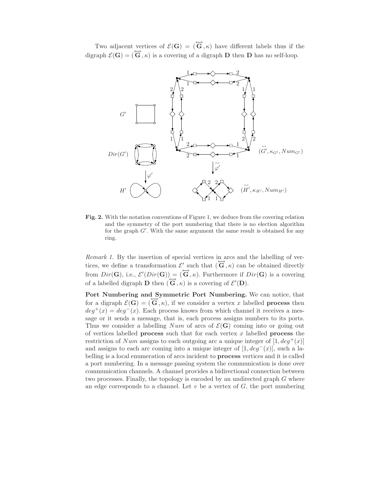Two adjacent vertices of  $\mathcal{E}(\mathbf{G}) = (\overleftrightarrow{\mathbf{G}}, \kappa)$  have different labels thus if the digraph  $\mathcal{E}(\mathbf{G}) = (\overrightarrow{\mathbf{G}}, \kappa)$  is a covering of a digraph **D** then **D** has no self-loop.



Fig. 2. With the notation conventions of Figure 1, we deduce from the covering relation and the symmetry of the port numbering that there is no election algorithm for the graph  $G'$ . With the same argument the same result is obtained for any ring.

Remark 1. By the insertion of special vertices in arcs and the labelling of vertices, we define a transformation  $\mathcal{E}'$  such that  $(\mathbf{G}, \kappa)$  can be obtained directly from  $Dir(G)$ , i.e.,  $\mathcal{E}'(Dir(G)) = (\overleftrightarrow{G}, \kappa)$ . Furthermore if  $Dir(G)$  is a covering of a labelled digraph **D** then  $(\vec{G}, \kappa)$  is a covering of  $\mathcal{E}'(\mathbf{D})$ .

Port Numbering and Symmetric Port Numbering. We can notice, that for a digraph  $\mathcal{E}(\mathbf{G}) = (\overline{\mathbf{G}}, \kappa)$ , if we consider a vertex x labelled **process** then  $deg^+(x) = deg^-(x)$ . Each process knows from which channel it receives a message or it sends a message, that is, each process assigns numbers to its ports. Thus we consider a labelling Num of arcs of  $\mathcal{E}(G)$  coming into or going out of vertices labelled **process** such that for each vertex  $x$  labelled **process** the restriction of Num assigns to each outgoing arc a unique integer of  $[1, deg^+(x)]$ and assigns to each arc coming into a unique integer of  $[1, deg<sup>-</sup>(x)]$ , such a labelling is a local enumeration of arcs incident to process vertices and it is called a port numbering. In a message passing system the communication is done over communication channels. A channel provides a bidirectional connection between two processes. Finally, the topology is encoded by an undirected graph G where an edge corresponds to a channel. Let  $v$  be a vertex of  $G$ , the port numbering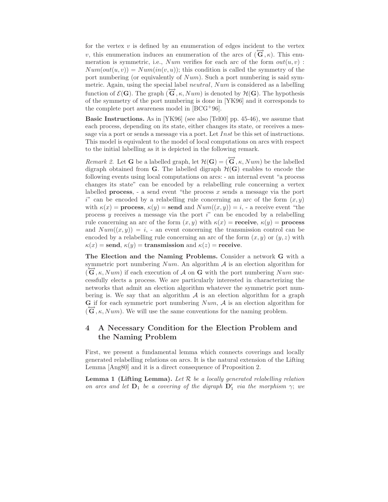for the vertex  $v$  is defined by an enumeration of edges incident to the vertex v, this enumeration induces an enumeration of the arcs of  $(G, \kappa)$ . This enumeration is symmetric, i.e.,  $Num$  verifies for each arc of the form  $out(u, v)$ :  $Num(out(u, v)) = Num(in(v, u))$ ; this condition is called the symmetry of the port numbering (or equivalently of  $Num$ ). Such a port numbering is said symmetric. Again, using the special label *neutral*, Num is considered as a labelling function of  $\mathcal{E}(\mathbf{G})$ . The graph  $(\mathbf{G}, \kappa, Num)$  is denoted by  $\mathcal{H}(\mathbf{G})$ . The hypothesis of the symmetry of the port numbering is done in [YK96] and it corresponds to the complete port awareness model in [BCG<sup>+</sup>96].

Basic Instructions. As in [YK96] (see also [Tel00] pp. 45-46), we assume that each process, depending on its state, either changes its state, or receives a message via a port or sends a message via a port. Let Inst be this set of instructions. This model is equivalent to the model of local computations on arcs with respect to the initial labelling as it is depicted in the following remark.

*Remark 2.* Let **G** be a labelled graph, let  $\mathcal{H}(\mathbf{G}) = (\overrightarrow{\mathbf{G}}, \kappa, Num)$  be the labelled digraph obtained from **G**. The labelled digraph  $\mathcal{H}(\mathbf{G})$  enables to encode the following events using local computations on arcs: - an internal event "a process changes its state" can be encoded by a relabelling rule concerning a vertex labelled **process**, - a send event "the process  $x$  sends a message via the port i" can be encoded by a relabelling rule concerning an arc of the form  $(x, y)$ with  $\kappa(x) =$  process,  $\kappa(y) =$  send and  $Num((x, y)) = i$ , - a receive event "the process  $y$  receives a message via the port  $i^{\prime\prime}$  can be encoded by a relabelling rule concerning an arc of the form  $(x, y)$  with  $\kappa(x) = \textbf{receive}, \kappa(y) = \textbf{process}$ and  $Num((x, y)) = i$ , - an event concerning the transmission control can be encoded by a relabelling rule concerning an arc of the form  $(x, y)$  or  $(y, z)$  with  $\kappa(x)$  = send,  $\kappa(y)$  = transmission and  $\kappa(z)$  = receive.

The Election and the Naming Problems. Consider a network G with a symmetric port numbering  $Num$ . An algorithm  $A$  is an election algorithm for  $(\vec{G}, \kappa, Num)$  if each execution of A on G with the port numbering Num successfully elects a process. We are particularly interested in characterizing the networks that admit an election algorithm whatever the symmetric port numbering is. We say that an algorithm  $A$  is an election algorithm for a graph G if for each symmetric port numbering  $Num, A$  is an election algorithm for  $(\vec{G}, \kappa, Num)$ . We will use the same conventions for the naming problem.

# 4 A Necessary Condition for the Election Problem and the Naming Problem

First, we present a fundamental lemma which connects coverings and locally generated relabelling relations on arcs. It is the natural extension of the Lifting Lemma [Ang80] and it is a direct consequence of Proposition 2.

**Lemma 1 (Lifting Lemma).** Let  $\mathcal{R}$  be a locally generated relabelling relation on arcs and let  $D_1$  be a covering of the digraph  $D'_1$  via the morphism  $\gamma$ ; we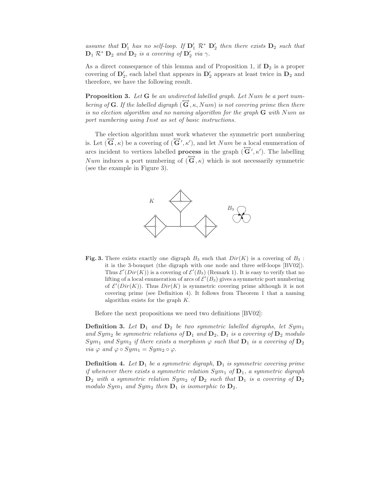assume that  $D'_1$  has no self-loop. If  $D'_1 \mathcal{R}^* D'_2$  then there exists  $D_2$  such that  $\mathbf{D}_1 \mathcal{R}^* \mathbf{D}_2$  and  $\mathbf{D}_2$  is a covering of  $\mathbf{D}'_2$  via  $\gamma$ .

As a direct consequence of this lemma and of Proposition 1, if  $D_2$  is a proper covering of  $\mathbf{D}'_2$ , each label that appears in  $\mathbf{D}'_2$  appears at least twice in  $\mathbf{D}_2$  and therefore, we have the following result.

**Proposition 3.** Let  $G$  be an undirected labelled graph. Let  $Num$  be a port numbering of G. If the labelled digraph  $(\tilde{G}, \kappa, Num)$  is not covering prime then there is no election algorithm and no naming algorithm for the graph  $G$  with Num as port numbering using Inst as set of basic instructions.

The election algorithm must work whatever the symmetric port numbering is. Let  $(\vec{G}, \kappa)$  be a covering of  $(\vec{G}', \kappa')$ , and let Num be a local enumeration of arcs incident to vertices labelled **process** in the graph  $(\vec{G}', \kappa')$ . The labelling Num induces a port numbering of  $(\overline{\mathbf{G}}, \kappa)$  which is not necessarily symmetric (see the example in Figure 3).



Fig. 3. There exists exactly one digraph  $B_3$  such that  $Dir(K)$  is a covering of  $B_3$ : it is the 3-bouquet (the digraph with one node and three self-loops [BV02]). Thus  $\mathcal{E}'(Dir(K))$  is a covering of  $\mathcal{E}'(B_3)$  (Remark 1). It is easy to verify that no lifting of a local enumeration of arcs of  $\mathcal{E}'(B_3)$  gives a symmetric port numbering of  $\mathcal{E}'(Dir(K))$ . Thus  $Dir(K)$  is symmetric covering prime although it is not covering prime (see Definition 4). It follows from Theorem 1 that a naming algorithm exists for the graph K.

Before the next propositions we need two definitions [BV02]:

**Definition 3.** Let  $D_1$  and  $D_2$  be two symmetric labelled digraphs, let  $Sym_1$ and  $Sym_2$  be symmetric relations of  $D_1$  and  $D_2$ ,  $D_1$  is a covering of  $D_2$  modulo  $Sym_1$  and  $Sym_2$  if there exists a morphism  $\varphi$  such that  $D_1$  is a covering of  $D_2$ via  $\varphi$  and  $\varphi \circ Sym_1 = Sym_2 \circ \varphi$ .

**Definition 4.** Let  $D_1$  be a symmetric digraph,  $D_1$  is symmetric covering prime if whenever there exists a symmetric relation  $Sym_1$  of  $D_1$ , a symmetric digraph  $D_2$  with a symmetric relation  $Sym_2$  of  $D_2$  such that  $D_1$  is a covering of  $D_2$ modulo  $Sym_1$  and  $Sym_2$  then  $D_1$  is isomorphic to  $D_2$ .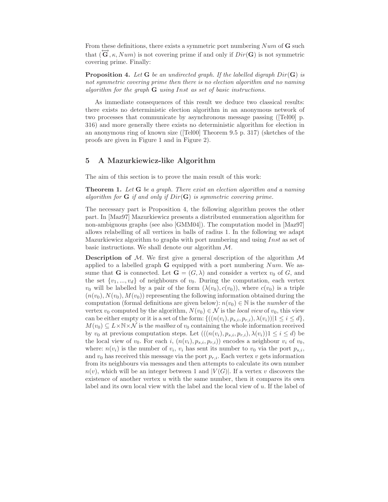From these definitions, there exists a symmetric port numbering  $Num$  of  **such** that  $(\tilde{\mathbf{G}}, \kappa, Num)$  is not covering prime if and only if  $Dir(\mathbf{G})$  is not symmetric covering prime. Finally:

**Proposition 4.** Let G be an undirected graph. If the labelled digraph  $Dir(G)$  is not symmetric covering prime then there is no election algorithm and no naming algorithm for the graph G using Inst as set of basic instructions.

As immediate consequences of this result we deduce two classical results: there exists no deterministic election algorithm in an anonymous network of two processes that communicate by asynchronous message passing ([Tel00] p. 316) and more generally there exists no deterministic algorithm for election in an anonymous ring of known size ([Tel00] Theorem 9.5 p. 317) (sketches of the proofs are given in Figure 1 and in Figure 2).

#### 5 A Mazurkiewicz-like Algorithm

The aim of this section is to prove the main result of this work:

**Theorem 1.** Let G be a graph. There exist an election algorithm and a naming algorithm for  $G$  if and only if  $Dir(G)$  is symmetric covering prime.

The necessary part is Proposition 4, the following algorithm proves the other part. In [Maz97] Mazurkiewicz presents a distributed enumeration algorithm for non-ambiguous graphs (see also [GMM04]). The computation model in [Maz97] allows relabelling of all vertices in balls of radius 1. In the following we adapt Mazurkiewicz algorithm to graphs with port numbering and using Inst as set of basic instructions. We shall denote our algorithm M.

**Description of M.** We first give a general description of the algorithm  $\mathcal M$ applied to a labelled graph  $G$  equipped with a port numbering  $Num$ . We assume that **G** is connected. Let  $\mathbf{G} = (G, \lambda)$  and consider a vertex  $v_0$  of G, and the set  $\{v_1, ..., v_d\}$  of neighbours of  $v_0$ . During the computation, each vertex  $v_0$  will be labelled by a pair of the form  $(\lambda(v_0), c(v_0))$ , where  $c(v_0)$  is a triple  $(n(v_0), N(v_0), M(v_0))$  representing the following information obtained during the computation (formal definitions are given below):  $n(v_0) \in \mathbb{N}$  is the *number* of the vertex  $v_0$  computed by the algorithm,  $N(v_0) \in \mathcal{N}$  is the local view of  $v_0$ , this view can be either empty or it is a set of the form:  $\{((n(v_i), p_{s,i}, p_{r,i}), \lambda(v_i)) | 1 \le i \le d\},\$  $M(v_0) \subseteq L \times \mathbb{N} \times \mathcal{N}$  is the mailbox of  $v_0$  containing the whole information received by  $v_0$  at previous computation steps. Let  $(((n(v_i), p_{s,i}, p_{r,i}), \lambda(v_i))1 \leq i \leq d)$  be the local view of  $v_0$ . For each i,  $(n(v_i), p_{s,i}, p_{r,i})$  encodes a neighbour  $v_i$  of  $v_0$ , where:  $n(v_i)$  is the number of  $v_i$ ,  $v_i$  has sent its number to  $v_0$  via the port  $p_{s,i}$ , and  $v_0$  has received this message via the port  $p_{r,i}$ . Each vertex v gets information from its neighbours via messages and then attempts to calculate its own number  $n(v)$ , which will be an integer between 1 and  $|V(G)|$ . If a vertex v discovers the existence of another vertex  $u$  with the same number, then it compares its own label and its own local view with the label and the local view of u. If the label of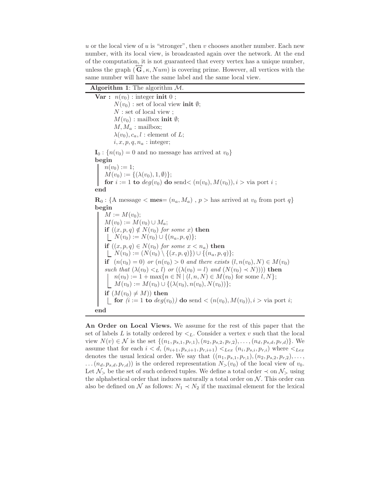u or the local view of u is "stronger", then v chooses another number. Each new number, with its local view, is broadcasted again over the network. At the end of the computation, it is not guaranteed that every vertex has a unique number, unless the graph  $(\overline{\mathbf{G}}, \kappa, Num)$  is covering prime. However, all vertices with the same number will have the same label and the same local view.

| <b>Algorithm 1:</b> The algorithm $M$ .                                                                                                |
|----------------------------------------------------------------------------------------------------------------------------------------|
| Var : $n(v_0)$ : integer init 0;                                                                                                       |
| $N(v_0)$ : set of local view init $\emptyset$ ;                                                                                        |
| $N:$ set of local view :                                                                                                               |
| $M(v_0)$ : mailbox init $\emptyset$ ;                                                                                                  |
| $M, M_a$ : mailbox;                                                                                                                    |
| $\lambda(v_0), c_a, l$ : element of L;                                                                                                 |
| $i, x, p, q, n_a$ : integer;                                                                                                           |
| $I_0: \{n(v_0)=0\}$ and no message has arrived at $v_0$                                                                                |
| begin                                                                                                                                  |
| $n(v_0) := 1;$                                                                                                                         |
|                                                                                                                                        |
| $M(v_0) := \{ (\lambda(v_0), 1, \emptyset) \};$<br>for $i := 1$ to $deg(v_0)$ do send $\lt (n(v_0), M(v_0)), i > \text{via port } i ;$ |
| end                                                                                                                                    |
| $\mathbf{R}_0$ : {A message < mes= $(n_a, M_a)$ , $p >$ has arrived at $v_0$ from port $q$ }                                           |
| begin                                                                                                                                  |
| $M := M(v_0);$                                                                                                                         |
| $M(v_0) := M(v_0) \cup M_a;$                                                                                                           |
| if $((x, p, q) \notin N(v_0)$ for some x) then                                                                                         |

 $N(v_0) := N(v_0) \cup \{(n_a, p, q)\};$ if  $((x, p, q) \in N(v_0)$  for some  $x < n_a)$  then  $N(v_0) := (N(v_0) \setminus \{(x, p, q)\}) \cup \{(n_a, p, q)\};$ if  $(n(v_0) = 0)$  or  $(n(v_0) > 0$  and there exists  $(l, n(v_0), N) \in M(v_0)$ such that  $(\lambda(v_0) <_L l)$  or  $((\lambda(v_0) = l)$  and  $(N(v_0) \prec N)))$  then  $n(v_0) := 1 + \max\{n \in \mathbb{N} \mid (l, n, N) \in M(v_0) \text{ for some } l, N\};$  $M(v_0) := M(v_0) \cup \{(\lambda(v_0), n(v_0), N(v_0))\};$ if  $(M(v_0) \neq M)$  then **for**  $(i := 1 \text{ to } deg(v_0))$  do send  $\lt (n(v_0), M(v_0)), i > \text{via port } i;$ end

An Order on Local Views. We assume for the rest of this paper that the set of labels  $L$  is totally ordered by  $\lt_L$ . Consider a vertex  $v$  such that the local view  $N(v) \in \mathcal{N}$  is the set  $\{(n_1, p_{s,1}, p_{r,1}), (n_2, p_{s,2}, p_{r,2}), \ldots, (n_d, p_{s,d}, p_{r,d})\}$ . We assume that for each  $i < d$ ,  $(n_{i+1}, p_{s,i+1}, p_{r,i+1}) <_{Lex} (n_i, p_{s,i}, p_{r,i})$  where  $\lt_{Lex}$ denotes the usual lexical order. We say that  $((n_1, p_{s,1}, p_{r,1}), (n_2, p_{s,2}, p_{r,2}), \ldots,$  $\dots (n_d, p_{s,d}, p_{r,d})$  is the ordered representation  $N_>(v_0)$  of the local view of  $v_0$ . Let  $\mathcal{N}_>$  be the set of such ordered tuples. We define a total order  $\prec$  on  $\mathcal{N}_>$  using the alphabetical order that induces naturally a total order on  $N$ . This order can also be defined on  $\mathcal N$  as follows:  $N_1 \prec N_2$  if the maximal element for the lexical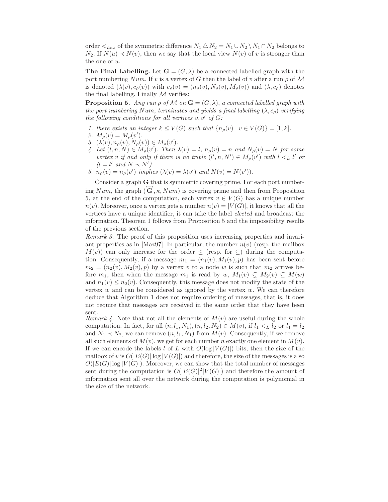order  $\lt_{Lex}$  of the symmetric difference  $N_1 \triangle N_2 = N_1 \cup N_2 \setminus N_1 \cap N_2$  belongs to  $N_2$ . If  $N(u) \prec N(v)$ , then we say that the local view  $N(v)$  of v is stronger than the one of u.

**The Final Labelling.** Let  $\mathbf{G} = (G, \lambda)$  be a connected labelled graph with the port numbering Num. If v is a vertex of G then the label of v after a run  $\rho$  of M is denoted  $(\lambda(v), c_{\rho}(v))$  with  $c_{\rho}(v) = (n_{\rho}(v), N_{\rho}(v), M_{\rho}(v))$  and  $(\lambda, c_{\rho})$  denotes the final labelling. Finally  $M$  verifies:

**Proposition 5.** Any run  $\rho$  of M on  $\mathbf{G} = (G, \lambda)$ , a connected labelled graph with the port numbering Num, terminates and yields a final labelling  $(\lambda, c_{\rho})$  verifying the following conditions for all vertices  $v, v'$  of  $G$ :

- 1. there exists an integer  $k \leq V(G)$  such that  $\{n_{\rho}(v) \mid v \in V(G)\} = [1, k].$
- 2.  $M_{\rho}(v) = M_{\rho}(v').$
- 3.  $(\lambda(v), n_{\rho}(v), N_{\rho}(v)) \in M_{\rho}(v')$ .
- 4. Let  $(l, n, N) \in M_\rho(v')$ . Then  $\lambda(v) = l$ ,  $n_\rho(v) = n$  and  $N_\rho(v) = N$  for some vertex v if and only if there is no triple  $(l', n, N') \in M_\rho(v')$  with  $l <_L l'$  or  $(l = l'$  and  $N \prec N'$ ).
- 5.  $n_{\rho}(v) = n_{\rho}(v')$  implies  $(\lambda(v) = \lambda(v')$  and  $N(v) = N(v')$ .

Consider a graph G that is symmetric covering prime. For each port numbering Num, the graph  $(\overline{G}, \kappa, Num)$  is covering prime and then from Proposition 5, at the end of the computation, each vertex  $v \in V(G)$  has a unique number  $n(v)$ . Moreover, once a vertex gets a number  $n(v) = |V(G)|$ , it knows that all the vertices have a unique identifier, it can take the label elected and broadcast the information. Theorem 1 follows from Proposition 5 and the impossibility results of the previous section.

Remark 3. The proof of this proposition uses increasing properties and invariant properties as in [Maz97]. In particular, the number  $n(v)$  (resp. the mailbox  $M(v)$  can only increase for the order  $\leq$  (resp. for  $\subseteq$ ) during the computation. Consequently, if a message  $m_1 = (n_1(v), M_1(v), p)$  has been sent before  $m_2 = (n_2(v), M_2(v), p)$  by a vertex v to a node w is such that  $m_2$  arrives before  $m_1$ , then when the message  $m_1$  is read by  $w$ ,  $M_1(v) \subsetneq M_2(v) \subseteq M(w)$ and  $n_1(v) \leq n_2(v)$ . Consequently, this message does not modify the state of the vertex  $w$  and can be considered as ignored by the vertex  $w$ . We can therefore deduce that Algorithm 1 does not require ordering of messages, that is, it does not require that messages are received in the same order that they have been sent.

Remark 4. Note that not all the elements of  $M(v)$  are useful during the whole computation. In fact, for all  $(n, l_1, N_1), (n, l_2, N_2) \in M(v)$ , if  $l_1 <_L l_2$  or  $l_1 = l_2$ and  $N_1 \prec N_2$ , we can remove  $(n, l_1, N_1)$  from  $M(v)$ . Consequently, if we remove all such elements of  $M(v)$ , we get for each number n exactly one element in  $M(v)$ . If we can encode the labels l of L with  $O(\log |V(G)|)$  bits, then the size of the mailbox of v is  $O(|E(G)| \log |V(G)|)$  and therefore, the size of the messages is also  $O(|E(G)| \log |V(G)|)$ . Moreover, we can show that the total number of messages sent during the computation is  $O(|E(G)|^2 |V(G)|)$  and therefore the amount of information sent all over the network during the computation is polynomial in the size of the network.